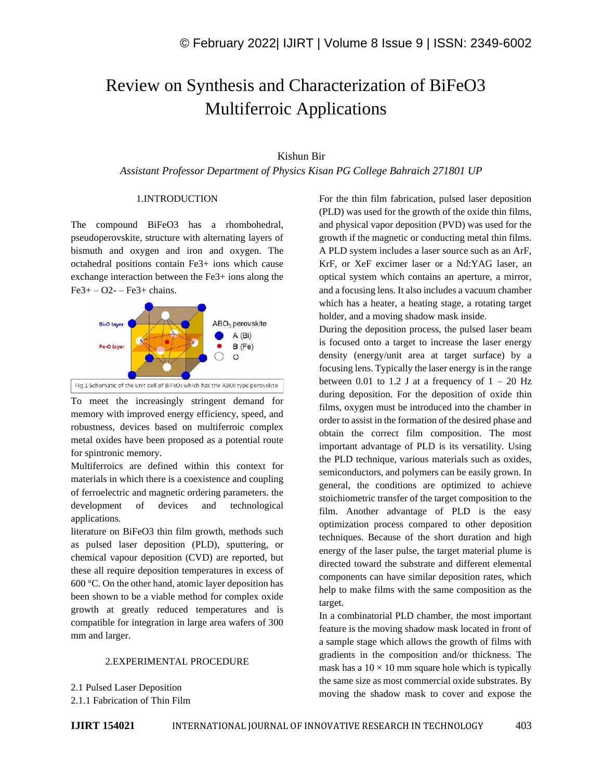# Review on Synthesis and Characterization of BiFeO3 Multiferroic Applications

# Kishun Bir

*Assistant Professor Department of Physics Kisan PG College Bahraich 271801 UP*

#### 1.INTRODUCTION

The compound BiFeO3 has a rhombohedral, pseudoperovskite, structure with alternating layers of bismuth and oxygen and iron and oxygen. The octahedral positions contain Fe3+ ions which cause exchange interaction between the Fe3+ ions along the  $Fe3+-O2--Fe3+ chains.$ 



To meet the increasingly stringent demand for memory with improved energy efficiency, speed, and robustness, devices based on multiferroic complex metal oxides have been proposed as a potential route for spintronic memory.

Multiferroics are defined within this context for materials in which there is a coexistence and coupling of ferroelectric and magnetic ordering parameters. the development of devices and technological applications.

literature on BiFeO3 thin film growth, methods such as pulsed laser deposition (PLD), sputtering, or chemical vapour deposition (CVD) are reported, but these all require deposition temperatures in excess of 600 °C. On the other hand, atomic layer deposition has been shown to be a viable method for complex oxide growth at greatly reduced temperatures and is compatible for integration in large area wafers of 300 mm and larger.

# 2.EXPERIMENTAL PROCEDURE

2.1 Pulsed Laser Deposition

2.1.1 Fabrication of Thin Film

For the thin film fabrication, pulsed laser deposition (PLD) was used for the growth of the oxide thin films, and physical vapor deposition (PVD) was used for the growth if the magnetic or conducting metal thin films. A PLD system includes a laser source such as an ArF, KrF, or XeF excimer laser or a Nd:YAG laser, an optical system which contains an aperture, a mirror, and a focusing lens. It also includes a vacuum chamber which has a heater, a heating stage, a rotating target holder, and a moving shadow mask inside.

During the deposition process, the pulsed laser beam is focused onto a target to increase the laser energy density (energy/unit area at target surface) by a focusing lens. Typically the laser energy is in the range between 0.01 to 1.2 J at a frequency of  $1 - 20$  Hz during deposition. For the deposition of oxide thin films, oxygen must be introduced into the chamber in order to assist in the formation of the desired phase and obtain the correct film composition. The most important advantage of PLD is its versatility. Using the PLD technique, various materials such as oxides, semiconductors, and polymers can be easily grown. In general, the conditions are optimized to achieve stoichiometric transfer of the target composition to the film. Another advantage of PLD is the easy optimization process compared to other deposition techniques. Because of the short duration and high energy of the laser pulse, the target material plume is directed toward the substrate and different elemental components can have similar deposition rates, which help to make films with the same composition as the target.

In a combinatorial PLD chamber, the most important feature is the moving shadow mask located in front of a sample stage which allows the growth of films with gradients in the composition and/or thickness. The mask has a  $10 \times 10$  mm square hole which is typically the same size as most commercial oxide substrates. By moving the shadow mask to cover and expose the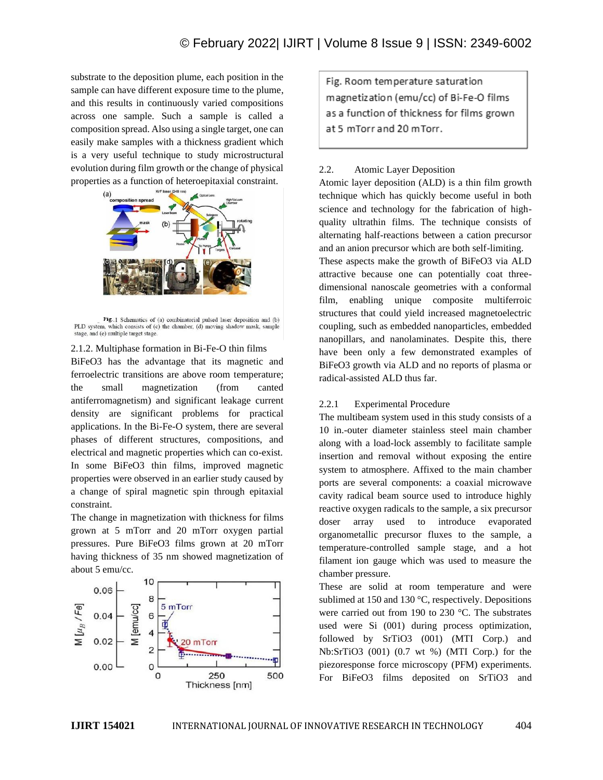substrate to the deposition plume, each position in the sample can have different exposure time to the plume, and this results in continuously varied compositions across one sample. Such a sample is called a composition spread. Also using a single target, one can easily make samples with a thickness gradient which is a very useful technique to study microstructural evolution during film growth or the change of physical properties as a function of heteroepitaxial constraint.



Fig. 1 Schematics of (a) combinatorial pulsed laser deposition and (b) PLD system, which consists of (c) the chamber, (d) moving shadow mask, sample stage, and (e) multiple target stage.

#### 2.1.2. Multiphase formation in Bi-Fe-O thin films

BiFeO3 has the advantage that its magnetic and ferroelectric transitions are above room temperature; the small magnetization (from canted antiferromagnetism) and significant leakage current density are significant problems for practical applications. In the Bi-Fe-O system, there are several phases of different structures, compositions, and electrical and magnetic properties which can co-exist. In some BiFeO3 thin films, improved magnetic properties were observed in an earlier study caused by a change of spiral magnetic spin through epitaxial constraint.

The change in magnetization with thickness for films grown at 5 mTorr and 20 mTorr oxygen partial pressures. Pure BiFeO3 films grown at 20 mTorr having thickness of 35 nm showed magnetization of about 5 emu/cc.



Fig. Room temperature saturation magnetization (emu/cc) of Bi-Fe-O films as a function of thickness for films grown at 5 mTorr and 20 mTorr.

## 2.2. Atomic Layer Deposition

Atomic layer deposition (ALD) is a thin film growth technique which has quickly become useful in both science and technology for the fabrication of highquality ultrathin films. The technique consists of alternating half-reactions between a cation precursor and an anion precursor which are both self-limiting.

These aspects make the growth of BiFeO3 via ALD attractive because one can potentially coat threedimensional nanoscale geometries with a conformal film, enabling unique composite multiferroic structures that could yield increased magnetoelectric coupling, such as embedded nanoparticles, embedded nanopillars, and nanolaminates. Despite this, there have been only a few demonstrated examples of BiFeO3 growth via ALD and no reports of plasma or radical-assisted ALD thus far.

# 2.2.1 Experimental Procedure

The multibeam system used in this study consists of a 10 in.-outer diameter stainless steel main chamber along with a load-lock assembly to facilitate sample insertion and removal without exposing the entire system to atmosphere. Affixed to the main chamber ports are several components: a coaxial microwave cavity radical beam source used to introduce highly reactive oxygen radicals to the sample, a six precursor doser array used to introduce evaporated organometallic precursor fluxes to the sample, a temperature-controlled sample stage, and a hot filament ion gauge which was used to measure the chamber pressure.

These are solid at room temperature and were sublimed at 150 and 130 °C, respectively. Depositions were carried out from 190 to 230 °C. The substrates used were Si (001) during process optimization, followed by SrTiO3 (001) (MTI Corp.) and Nb:SrTiO3 (001) (0.7 wt %) (MTI Corp.) for the piezoresponse force microscopy (PFM) experiments. For BiFeO3 films deposited on SrTiO3 and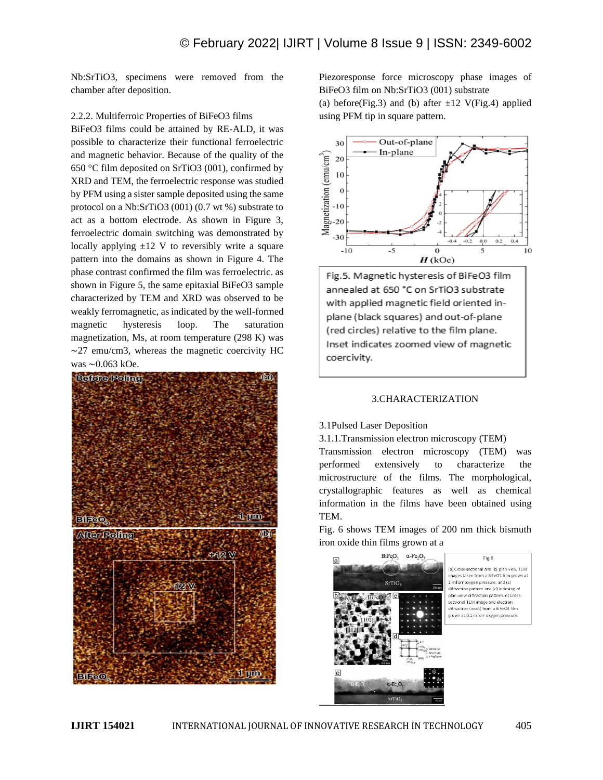Nb:SrTiO3, specimens were removed from the chamber after deposition.

## 2.2.2. Multiferroic Properties of BiFeO3 films

BiFeO3 films could be attained by RE-ALD, it was possible to characterize their functional ferroelectric and magnetic behavior. Because of the quality of the 650 °C film deposited on SrTiO3 (001), confirmed by XRD and TEM, the ferroelectric response was studied by PFM using a sister sample deposited using the same protocol on a Nb:SrTiO3 (001) (0.7 wt %) substrate to act as a bottom electrode. As shown in Figure 3, ferroelectric domain switching was demonstrated by locally applying  $\pm 12$  V to reversibly write a square pattern into the domains as shown in Figure 4. The phase contrast confirmed the film was ferroelectric. as shown in Figure 5, the same epitaxial BiFeO3 sample characterized by TEM and XRD was observed to be weakly ferromagnetic, as indicated by the well-formed magnetic hysteresis loop. The saturation magnetization, Ms, at room temperature (298 K) was ∼27 emu/cm3, whereas the magnetic coercivity HC was ∼0.063 kOe.



Piezoresponse force microscopy phase images of BiFeO3 film on Nb:SrTiO3 (001) substrate

(a) before(Fig.3) and (b) after  $\pm 12$  V(Fig.4) applied using PFM tip in square pattern.



Fig.5. Magnetic hysteresis of BiFeO3 film annealed at 650 °C on SrTiO3 substrate with applied magnetic field oriented inplane (black squares) and out-of-plane (red circles) relative to the film plane. Inset indicates zoomed view of magnetic coercivity.

#### 3.CHARACTERIZATION

# 3.1Pulsed Laser Deposition

3.1.1.Transmission electron microscopy (TEM) Transmission electron microscopy (TEM) was performed extensively to characterize the microstructure of the films. The morphological, crystallographic features as well as chemical information in the films have been obtained using TEM.

Fig. 6 shows TEM images of 200 nm thick bismuth iron oxide thin films grown at a

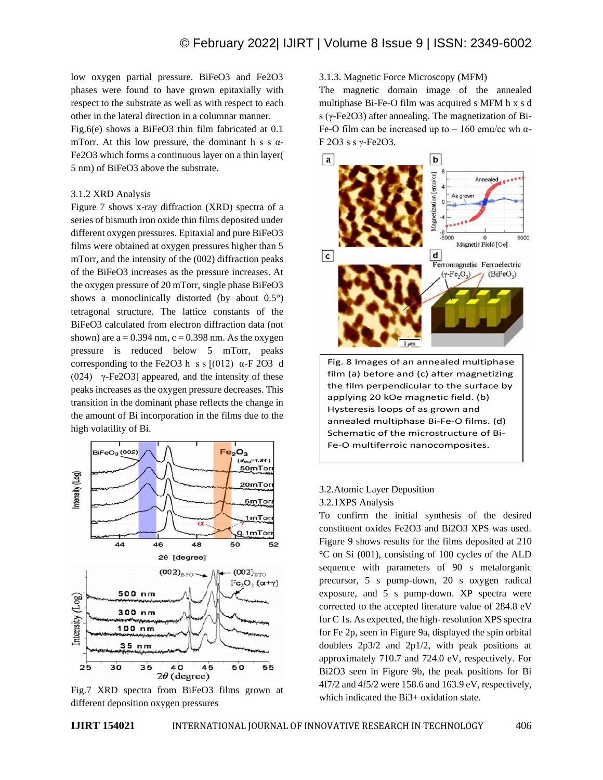low oxygen partial pressure. BiFeO3 and Fe2O3 phases were found to have grown epitaxially with respect to the substrate as well as with respect to each other in the lateral direction in a columnar manner.

Fig.6(e) shows a BiFeO3 thin film fabricated at 0.1 mTorr. At this low pressure, the dominant h s s  $\alpha$ -Fe2O3 which forms a continuous layer on a thin layer( 5 nm) of BiFeO3 above the substrate.

#### 3.1.2 XRD Analysis

Figure 7 shows x-ray diffraction (XRD) spectra of a series of bismuth iron oxide thin films deposited under different oxygen pressures. Epitaxial and pure BiFeO3 films were obtained at oxygen pressures higher than 5 mTorr, and the intensity of the (002) diffraction peaks of the BiFeO3 increases as the pressure increases. At the oxygen pressure of 20 mTorr, single phase BiFeO3 shows a monoclinically distorted (by about 0.5°) tetragonal structure. The lattice constants of the BiFeO3 calculated from electron diffraction data (not shown) are  $a = 0.394$  nm,  $c = 0.398$  nm. As the oxygen pressure is reduced below 5 mTorr, peaks corresponding to the Fe2O3 h s s  $[(012) \alpha - F 2O3 \ d$ (024) γ-Fe2O3] appeared, and the intensity of these peaks increases as the oxygen pressure decreases. This transition in the dominant phase reflects the change in the amount of Bi incorporation in the films due to the high volatility of Bi.



Fig.7 XRD spectra from BiFeO3 films grown at different deposition oxygen pressures

## 3.1.3. Magnetic Force Microscopy (MFM)

The magnetic domain image of the annealed multiphase Bi-Fe-O film was acquired s MFM h x s d s (γ-Fe2O3) after annealing. The magnetization of Bi-Fe-O film can be increased up to  $\sim 160$  emu/cc wh  $\alpha$ -F 2O3 s s γ-Fe2O3.



film (a) before and (c) after magnetizing the film perpendicular to the surface by applying 20 kOe magnetic field. (b) Hysteresis loops of as grown and annealed multiphase Bi-Fe-O films. (d) Schematic of the microstructure of Bi-Fe-O multiferroic nanocomposites.

3.2.Atomic Layer Deposition

# 3.2.1XPS Analysis

To confirm the initial synthesis of the desired constituent oxides Fe2O3 and Bi2O3 XPS was used. Figure 9 shows results for the films deposited at 210 °C on Si (001), consisting of 100 cycles of the ALD sequence with parameters of 90 s metalorganic precursor, 5 s pump-down, 20 s oxygen radical exposure, and 5 s pump-down. XP spectra were corrected to the accepted literature value of 284.8 eV for C 1s. As expected, the high- resolution XPS spectra for Fe 2p, seen in Figure 9a, displayed the spin orbital doublets 2p3/2 and 2p1/2, with peak positions at approximately 710.7 and 724.0 eV, respectively. For Bi2O3 seen in Figure 9b, the peak positions for Bi 4f7/2 and 4f5/2 were 158.6 and 163.9 eV, respectively, which indicated the Bi3+ oxidation state.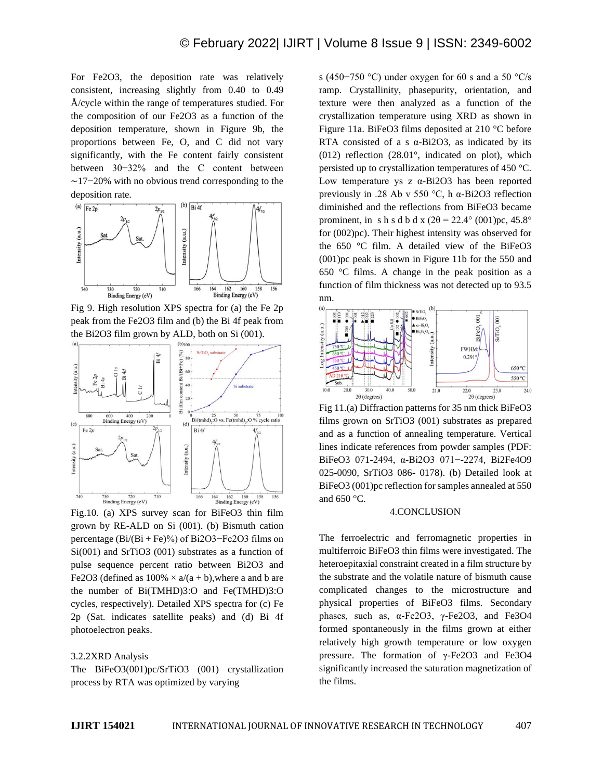For Fe2O3, the deposition rate was relatively consistent, increasing slightly from 0.40 to 0.49 Å/cycle within the range of temperatures studied. For the composition of our Fe2O3 as a function of the deposition temperature, shown in Figure 9b, the proportions between Fe, O, and C did not vary significantly, with the Fe content fairly consistent between 30−32% and the C content between ∼17−20% with no obvious trend corresponding to the deposition rate.



Fig 9. High resolution XPS spectra for (a) the Fe 2p peak from the Fe2O3 film and (b) the Bi 4f peak from the Bi2O3 film grown by ALD, both on Si (001).



Fig.10. (a) XPS survey scan for BiFeO3 thin film grown by RE-ALD on Si (001). (b) Bismuth cation percentage (Bi/(Bi + Fe)%) of Bi2O3−Fe2O3 films on Si(001) and SrTiO3 (001) substrates as a function of pulse sequence percent ratio between Bi2O3 and Fe2O3 (defined as  $100\% \times a/(a + b)$ , where a and b are the number of Bi(TMHD)3:O and Fe(TMHD)3:O cycles, respectively). Detailed XPS spectra for (c) Fe 2p (Sat. indicates satellite peaks) and (d) Bi 4f photoelectron peaks.

#### 3.2.2XRD Analysis

The BiFeO3(001)pc/SrTiO3 (001) crystallization process by RTA was optimized by varying

s (450−750 °C) under oxygen for 60 s and a 50 °C/s ramp. Crystallinity, phasepurity, orientation, and texture were then analyzed as a function of the crystallization temperature using XRD as shown in Figure 11a. BiFeO3 films deposited at 210 °C before RTA consisted of a s  $\alpha$ -Bi2O3, as indicated by its (012) reflection (28.01°, indicated on plot), which persisted up to crystallization temperatures of 450 °C. Low temperature ys z α-Bi2O3 has been reported previously in .28 Ab v 550 °C, h α-Bi2O3 reflection diminished and the reflections from BiFeO3 became prominent, in s h s d b d x  $(2\theta = 22.4^{\circ} (001)$ pc, 45.8° for (002)pc). Their highest intensity was observed for the 650 °C film. A detailed view of the BiFeO3 (001)pc peak is shown in Figure 11b for the 550 and 650 °C films. A change in the peak position as a function of film thickness was not detected up to 93.5 nm.



Fig 11.(a) Diffraction patterns for 35 nm thick BiFeO3 films grown on SrTiO3 (001) substrates as prepared and as a function of annealing temperature. Vertical lines indicate references from powder samples (PDF: BiFeO3 071-2494, α-Bi2O3 071−-2274, Bi2Fe4O9 025-0090, SrTiO3 086- 0178). (b) Detailed look at BiFeO3 (001)pc reflection for samples annealed at 550 and 650 °C.

#### 4.CONCLUSION

The ferroelectric and ferromagnetic properties in multiferroic BiFeO3 thin films were investigated. The heteroepitaxial constraint created in a film structure by the substrate and the volatile nature of bismuth cause complicated changes to the microstructure and physical properties of BiFeO3 films. Secondary phases, such as, α-Fe2O3, γ-Fe2O3, and Fe3O4 formed spontaneously in the films grown at either relatively high growth temperature or low oxygen pressure. The formation of γ-Fe2O3 and Fe3O4 significantly increased the saturation magnetization of the films.